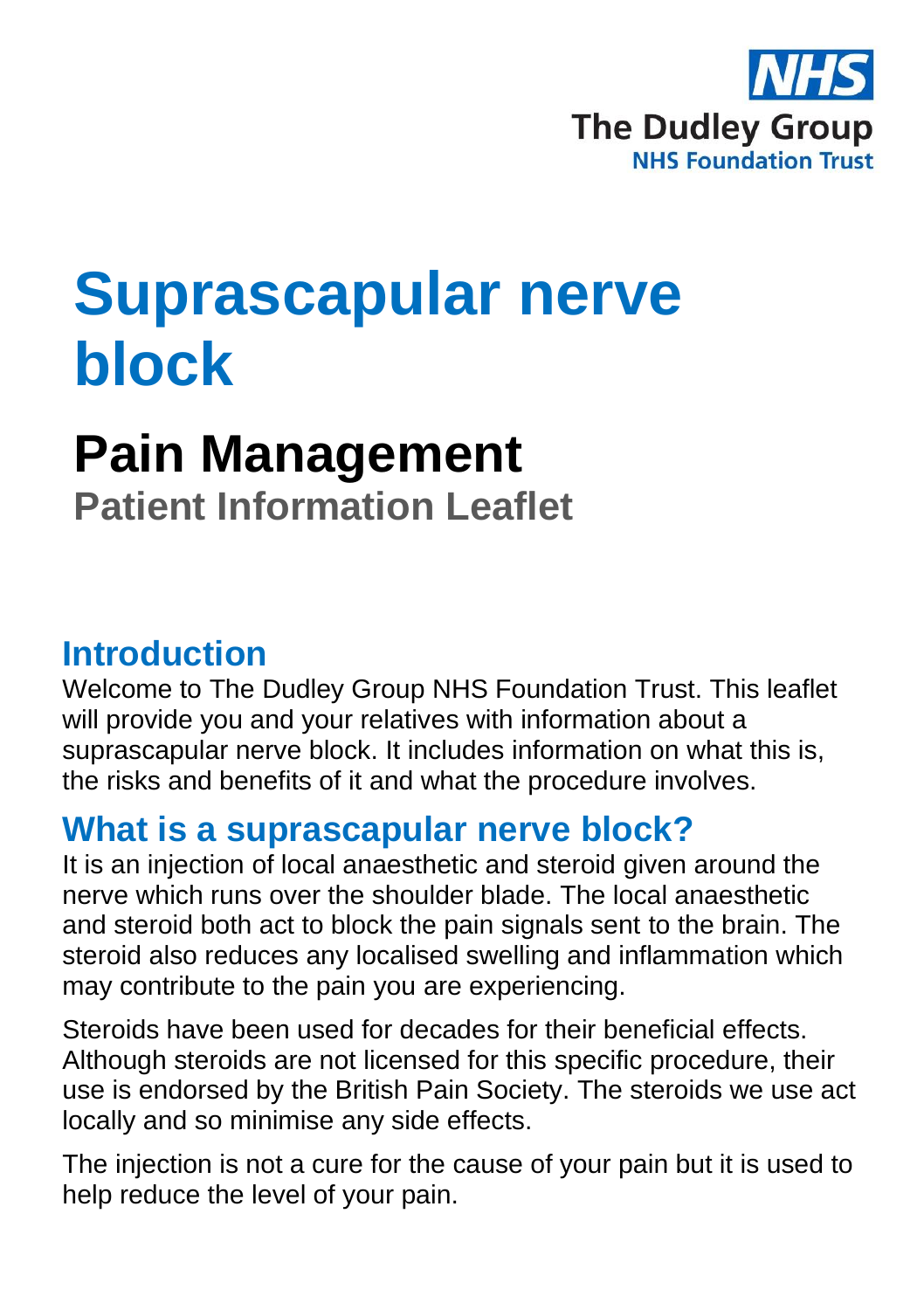

# **Suprascapular nerve block**

## **Pain Management**

**Patient Information Leaflet**

### **Introduction**

Welcome to The Dudley Group NHS Foundation Trust. This leaflet will provide you and your relatives with information about a suprascapular nerve block. It includes information on what this is, the risks and benefits of it and what the procedure involves.

### **What is a suprascapular nerve block?**

It is an injection of local anaesthetic and steroid given around the nerve which runs over the shoulder blade. The local anaesthetic and steroid both act to block the pain signals sent to the brain. The steroid also reduces any localised swelling and inflammation which may contribute to the pain you are experiencing.

Steroids have been used for decades for their beneficial effects. Although steroids are not licensed for this specific procedure, their use is endorsed by the British Pain Society. The steroids we use act locally and so minimise any side effects.

The injection is not a cure for the cause of your pain but it is used to help reduce the level of your pain.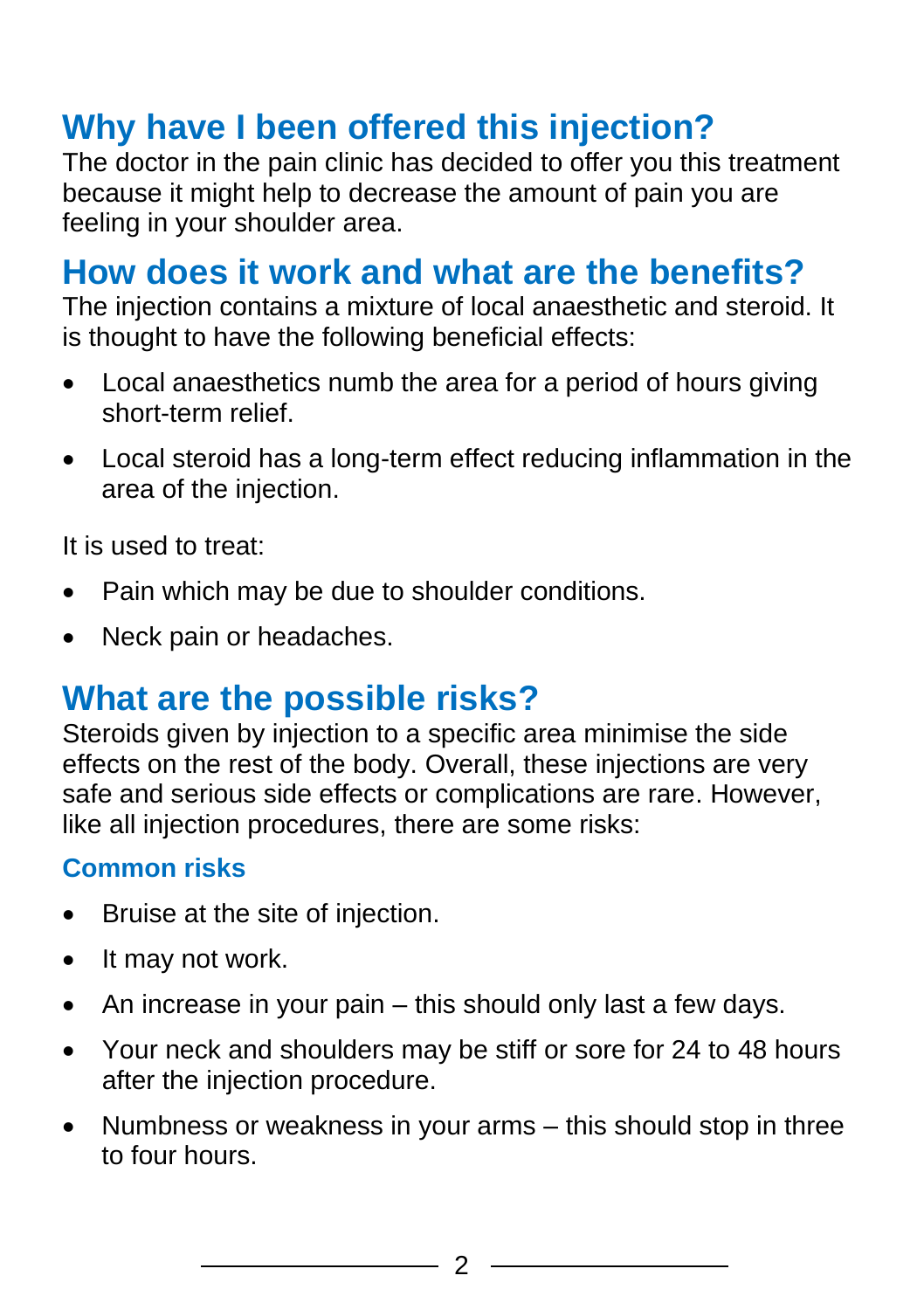### **Why have I been offered this injection?**

The doctor in the pain clinic has decided to offer you this treatment because it might help to decrease the amount of pain you are feeling in your shoulder area.

### **How does it work and what are the benefits?**

The injection contains a mixture of local anaesthetic and steroid. It is thought to have the following beneficial effects:

- Local anaesthetics numb the area for a period of hours giving short-term relief.
- Local steroid has a long-term effect reducing inflammation in the area of the injection.

It is used to treat:

- Pain which may be due to shoulder conditions.
- Neck pain or headaches.

### **What are the possible risks?**

Steroids given by injection to a specific area minimise the side effects on the rest of the body. Overall, these injections are very safe and serious side effects or complications are rare. However, like all injection procedures, there are some risks:

#### **Common risks**

- Bruise at the site of injection.
- It may not work.
- An increase in your pain this should only last a few days.
- Your neck and shoulders may be stiff or sore for 24 to 48 hours after the injection procedure.
- Numbness or weakness in your arms this should stop in three to four hours.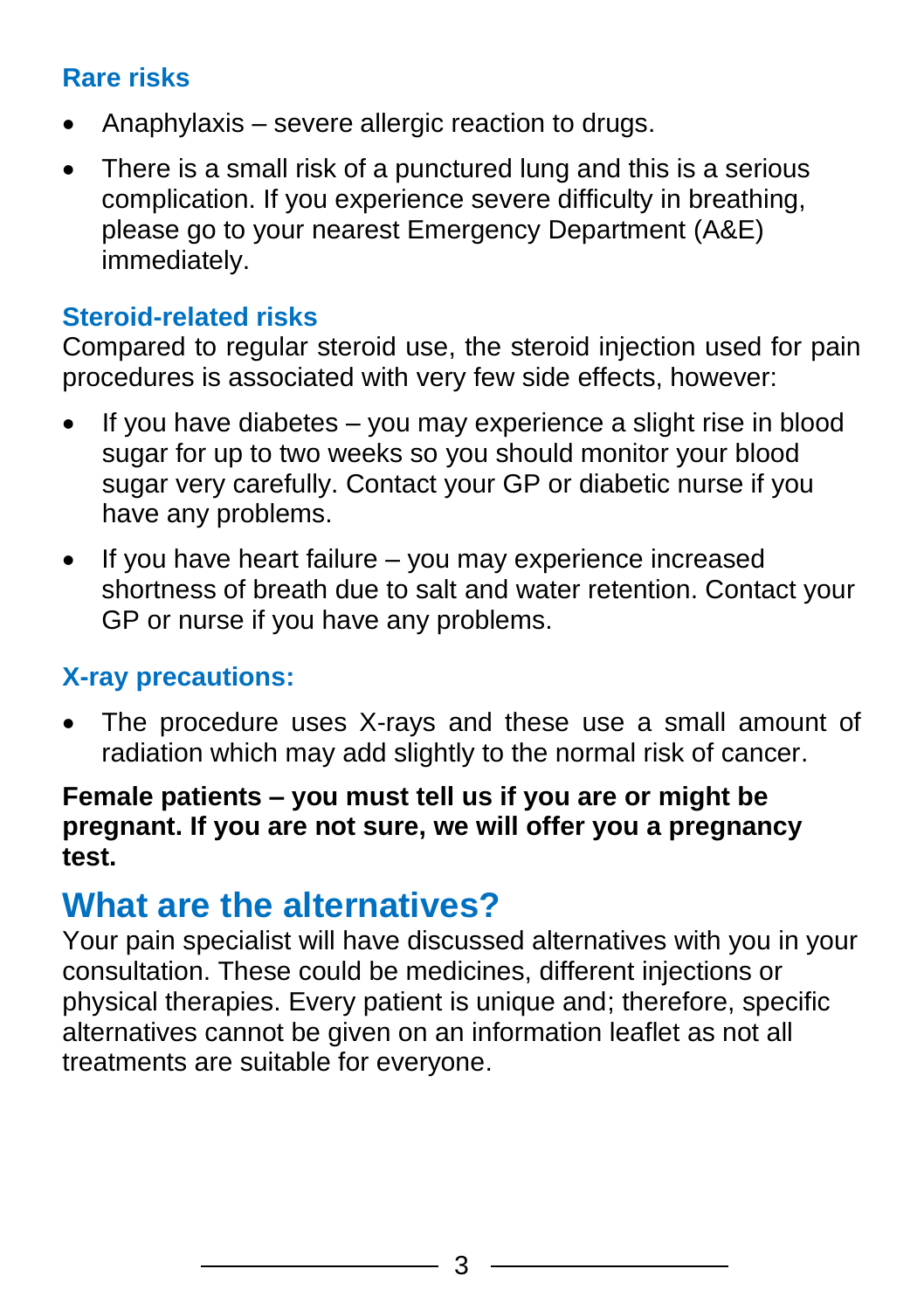#### **Rare risks**

- Anaphylaxis severe allergic reaction to drugs.
- There is a small risk of a punctured lung and this is a serious complication. If you experience severe difficulty in breathing, please go to your nearest Emergency Department (A&E) immediately.

#### **Steroid-related risks**

Compared to regular steroid use, the steroid injection used for pain procedures is associated with very few side effects, however:

- If you have diabetes  $-$  you may experience a slight rise in blood sugar for up to two weeks so you should monitor your blood sugar very carefully. Contact your GP or diabetic nurse if you have any problems.
- If you have heart failure you may experience increased shortness of breath due to salt and water retention. Contact your GP or nurse if you have any problems.

#### **X-ray precautions:**

The procedure uses X-rays and these use a small amount of radiation which may add slightly to the normal risk of cancer.

#### **Female patients – you must tell us if you are or might be pregnant. If you are not sure, we will offer you a pregnancy test.**

### **What are the alternatives?**

Your pain specialist will have discussed alternatives with you in your consultation. These could be medicines, different injections or physical therapies. Every patient is unique and; therefore, specific alternatives cannot be given on an information leaflet as not all treatments are suitable for everyone.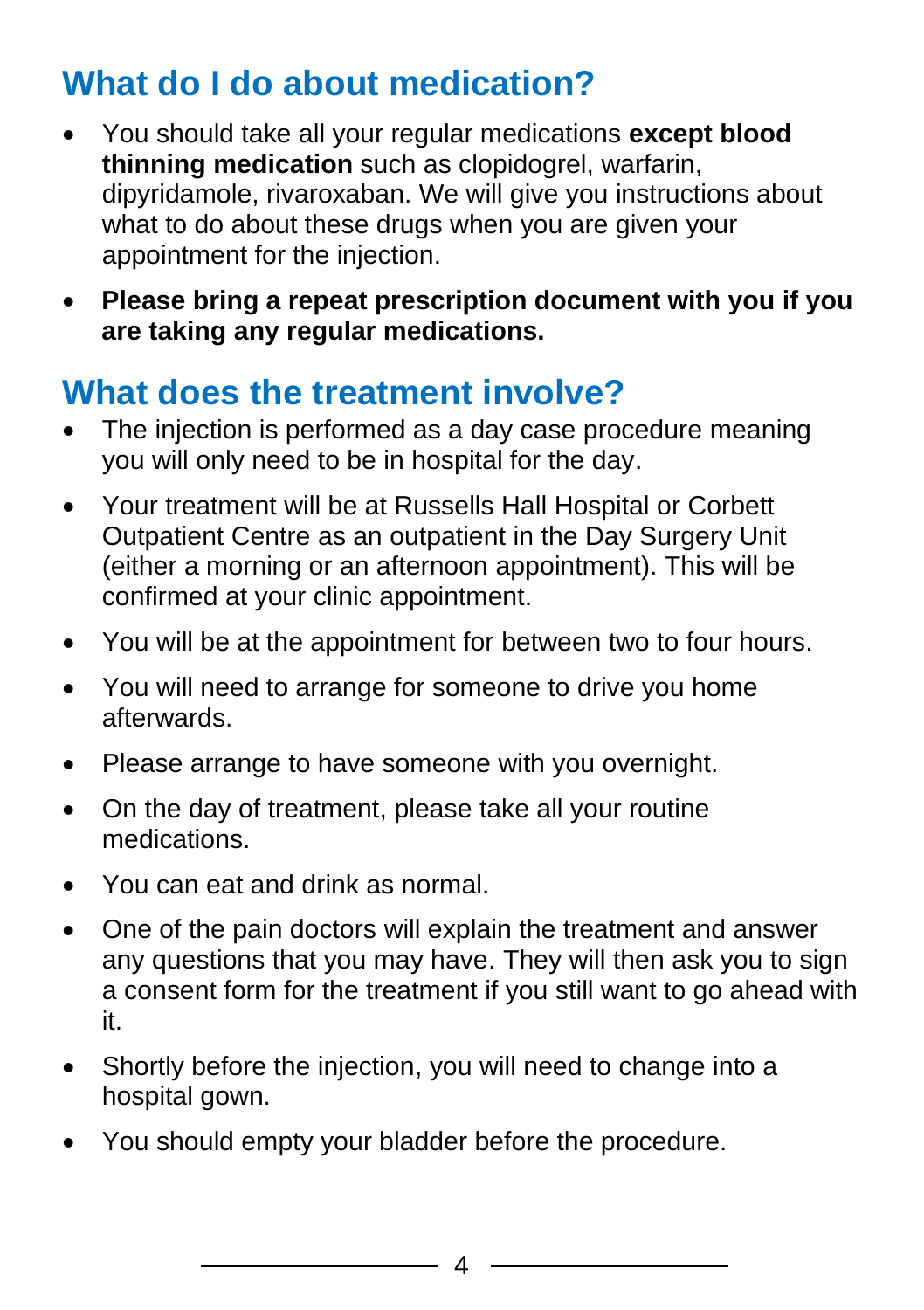### **What do I do about medication?**

- You should take all your regular medications **except blood thinning medication** such as clopidogrel, warfarin, dipyridamole, rivaroxaban. We will give you instructions about what to do about these drugs when you are given your appointment for the injection.
- **Please bring a repeat prescription document with you if you are taking any regular medications.**

### **What does the treatment involve?**

- The injection is performed as a day case procedure meaning you will only need to be in hospital for the day.
- Your treatment will be at Russells Hall Hospital or Corbett Outpatient Centre as an outpatient in the Day Surgery Unit (either a morning or an afternoon appointment). This will be confirmed at your clinic appointment.
- You will be at the appointment for between two to four hours.
- You will need to arrange for someone to drive you home afterwards.
- Please arrange to have someone with you overnight.
- On the day of treatment, please take all your routine medications.
- You can eat and drink as normal.
- One of the pain doctors will explain the treatment and answer any questions that you may have. They will then ask you to sign a consent form for the treatment if you still want to go ahead with it.
- Shortly before the injection, you will need to change into a hospital gown.
- You should empty your bladder before the procedure.

4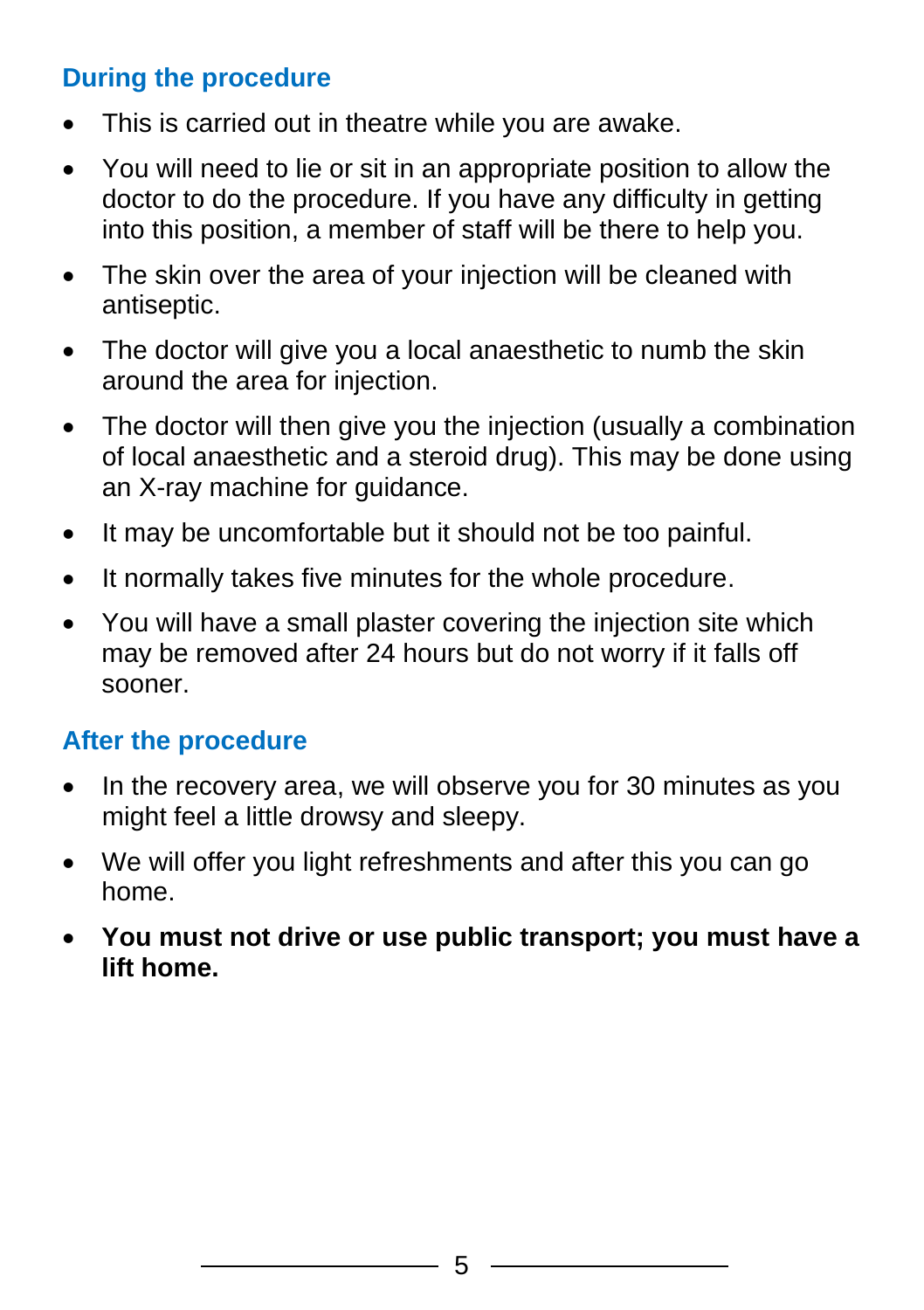#### **During the procedure**

- This is carried out in theatre while you are awake.
- You will need to lie or sit in an appropriate position to allow the doctor to do the procedure. If you have any difficulty in getting into this position, a member of staff will be there to help you.
- The skin over the area of your injection will be cleaned with antiseptic.
- The doctor will give you a local anaesthetic to numb the skin around the area for injection.
- The doctor will then give you the injection (usually a combination of local anaesthetic and a steroid drug). This may be done using an X-ray machine for guidance.
- It may be uncomfortable but it should not be too painful.
- It normally takes five minutes for the whole procedure.
- You will have a small plaster covering the injection site which may be removed after 24 hours but do not worry if it falls off sooner.

#### **After the procedure**

- In the recovery area, we will observe you for 30 minutes as you might feel a little drowsy and sleepy.
- We will offer you light refreshments and after this you can go home.
- **You must not drive or use public transport; you must have a lift home.**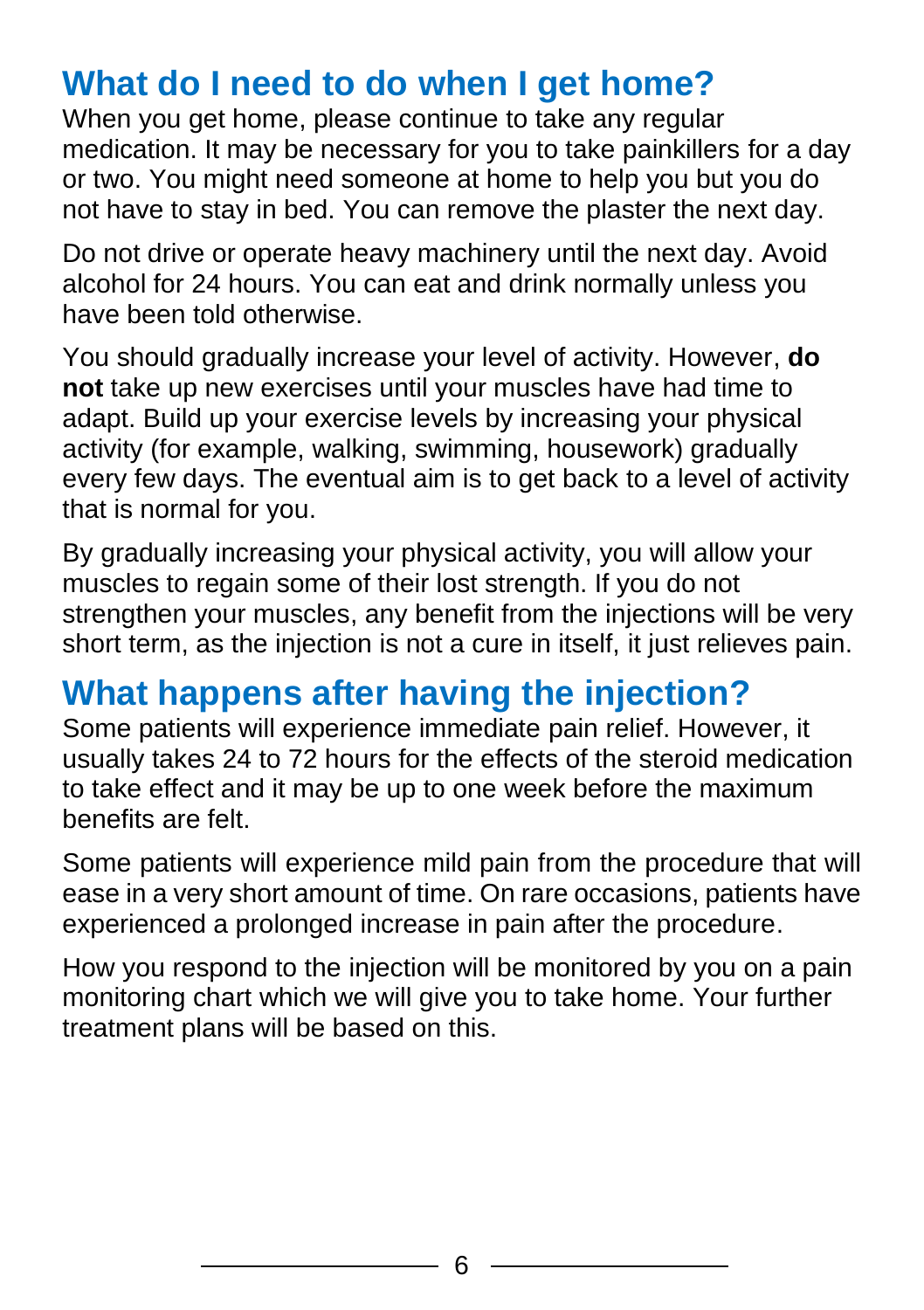### **What do I need to do when I get home?**

When you get home, please continue to take any regular medication. It may be necessary for you to take painkillers for a day or two. You might need someone at home to help you but you do not have to stay in bed. You can remove the plaster the next day.

Do not drive or operate heavy machinery until the next day. Avoid alcohol for 24 hours. You can eat and drink normally unless you have been told otherwise.

You should gradually increase your level of activity. However, **do not** take up new exercises until your muscles have had time to adapt. Build up your exercise levels by increasing your physical activity (for example, walking, swimming, housework) gradually every few days. The eventual aim is to get back to a level of activity that is normal for you.

By gradually increasing your physical activity, you will allow your muscles to regain some of their lost strength. If you do not strengthen your muscles, any benefit from the injections will be very short term, as the injection is not a cure in itself, it just relieves pain.

### **What happens after having the injection?**

Some patients will experience immediate pain relief. However, it usually takes 24 to 72 hours for the effects of the steroid medication to take effect and it may be up to one week before the maximum benefits are felt.

Some patients will experience mild pain from the procedure that will ease in a very short amount of time. On rare occasions, patients have experienced a prolonged increase in pain after the procedure.

How you respond to the injection will be monitored by you on a pain monitoring chart which we will give you to take home. Your further treatment plans will be based on this.